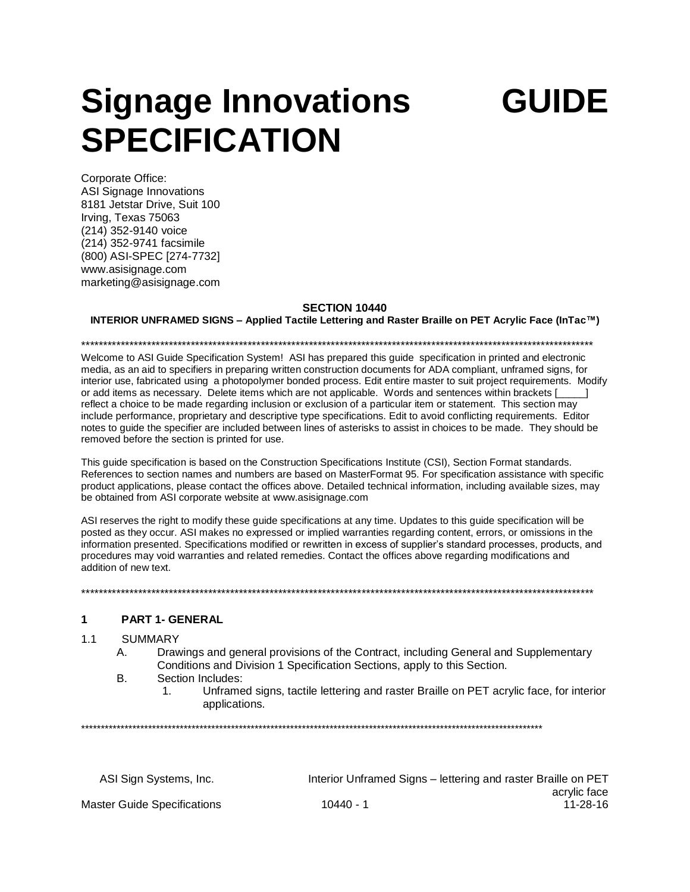# Signage Innovations **SPECIFICATION**

GUIDE

Corporate Office: **ASI Signage Innovations** 8181 Jetstar Drive, Suit 100 Irving, Texas 75063 (214) 352-9140 voice (214) 352-9741 facsimile (800) ASI-SPEC [274-7732] www.asisignage.com marketing@asisignage.com

## SECTION 10440

INTERIOR UNFRAMED SIGNS - Applied Tactile Lettering and Raster Braille on PET Acrylic Face (InTac™)

Welcome to ASI Guide Specification System! ASI has prepared this quide specification in printed and electronic media, as an aid to specifiers in preparing written construction documents for ADA compliant, unframed signs, for interior use, fabricated using a photopolymer bonded process. Edit entire master to suit project requirements. Modify or add items as necessary. Delete items which are not applicable. Words and sentences within brackets [ reflect a choice to be made regarding inclusion or exclusion of a particular item or statement. This section may include performance, proprietary and descriptive type specifications. Edit to avoid conflicting requirements. Editor notes to guide the specifier are included between lines of asterisks to assist in choices to be made. They should be removed before the section is printed for use.

This guide specification is based on the Construction Specifications Institute (CSI), Section Format standards. References to section names and numbers are based on MasterFormat 95. For specification assistance with specific product applications, please contact the offices above. Detailed technical information, including available sizes, may be obtained from ASI corporate website at www.asisignage.com

ASI reserves the right to modify these guide specifications at any time. Updates to this guide specification will be posted as they occur. ASI makes no expressed or implied warranties regarding content, errors, or omissions in the information presented. Specifications modified or rewritten in excess of supplier's standard processes, products, and procedures may void warranties and related remedies. Contact the offices above regarding modifications and addition of new text.

#### PART 1- GENERAL  $\mathbf{1}$

#### $1.1$ **SUMMARY**

- Drawings and general provisions of the Contract, including General and Supplementary A. Conditions and Division 1 Specification Sections, apply to this Section.
- **B.** Section Includes:
	- Unframed signs, tactile lettering and raster Braille on PET acrylic face, for interior  $1$ applications.

| ASI Sign Systems, Inc.             |           | Interior Unframed Signs – lettering and raster Braille on PET |
|------------------------------------|-----------|---------------------------------------------------------------|
|                                    |           | acrylic face                                                  |
| <b>Master Guide Specifications</b> | 10440 - 1 | 11-28-16                                                      |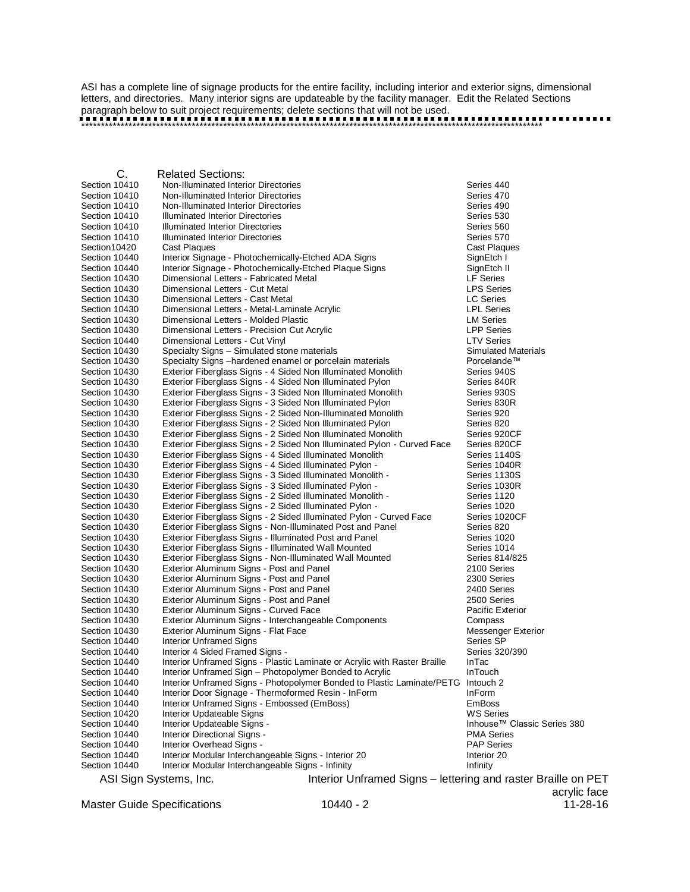ASI has a complete line of signage products for the entire facility, including interior and exterior signs, dimensional letters, and directories. Many interior signs are updateable by the facility manager. Edit the Related Sections paragraph below to suit project requirements; delete sections that will not be used.

\*\*\*\*\*\*\*\*\*\*\*\*\*\*\*\*\*\*\*\*\*\*\*\*\*\*\*\*\*\*\*\*\*\*\*\*\*\*\*\*\*\*\*\*\*\*\*\*\*\*\*\*\*\*\*\*\*\*\*\*\*\*\*\*\*\*\*\*\*\*\*\*\*\*\*\*\*\*\*\*\*\*\*\*\*\*\*\*\*\*\*\*\*\*\*\*\*\*\*\*\*\*\*\*\*\*\*\*\*\*\*\*\*\*\*\*\*

C. Related Sections: Non-Illuminated Interior Directories Series 440 Section 10410 Non-Illuminated Interior Directories Series 470 Non-Illuminated Interior Directories Section 10410 Illuminated Interior Directories Series Samuel And Series 530 Section 10410 Illuminated Interior Directories Series Series Series 560 Section 10410 Illuminated Interior Directories<br>
Section 10420 Cast Plagues<br>
Cast Plagues Section10420 Section 10440 Interior Signage - Photochemically-Etched ADA Signs SignEtch I Section 10440 Interior Signage - Photochemically-Etched Plaque Signs Sign SignEtch II<br>Section 10430 Dimensional Letters - Fabricated Metal Section 10430 Dimensional Letters - Fabricated Metal Section 10430 Dimensional Letters - Cut Metal Letters and LPS Series Section 10430 Dimensional Letters - Cast Metal<br>
Section 10430 Dimensional Letters - Metal-Laminate Acrylic Christian Muslim LPL Series Dimensional Letters - Metal-Laminate Acrylic Section 10430 Dimensional Letters - Molded Plastic LM Series Section 10430 Dimensional Letters - Precision Cut Acrylic<br>Section 10440 Dimensional Letters - Cut Vinyl Section 10440 Dimensional Letters - Cut Vinyl LTV Series Section 10430 Specialty Signs – Simulated stone materials Summer and Simulated Materials Simulated Materials S<br>Section 10430 Specialty Signs – hardened enamel or porcelain materials Section 10430 Specialnde<sup>TM</sup> Section 10430 Specialty Signs –hardened enamel or porcelain materials Porcelande™<br>Section 10430 Exterior Fiberglass Signs - 4 Sided Non Illuminated Monolith Series 940S Exterior Fiberglass Signs - 4 Sided Non Illuminated Monolith Section 10430 Exterior Fiberglass Signs - 4 Sided Non Illuminated Pylon Series 840R<br>Section 10430 Exterior Fiberglass Signs - 3 Sided Non Illuminated Monolith Series 930S Exterior Fiberglass Signs - 3 Sided Non Illuminated Monolith Section 10430 Exterior Fiberglass Signs - 3 Sided Non Illuminated Pylon Series 830R<br>Section 10430 Exterior Fiberglass Signs - 2 Sided Non-Illuminated Monolith Series 920 Section 10430 Exterior Fiberglass Signs - 2 Sided Non-Illuminated Monolith Series 920<br>Section 10430 Exterior Fiberglass Signs - 2 Sided Non Illuminated Pylon Series 820 Section 10430 Exterior Fiberglass Signs - 2 Sided Non Illuminated Pylon Series 820<br>
Section 10430 Exterior Fiberglass Signs - 2 Sided Non Illuminated Monolith Series 920CF Section 10430 Exterior Fiberglass Signs - 2 Sided Non Illuminated Monolith Series 920CF<br>Section 10430 Exterior Fiberglass Signs - 2 Sided Non Illuminated Pylon - Curved Face Series 820CF Exterior Fiberglass Signs - 2 Sided Non Illuminated Pylon - Curved Face Section 10430 Exterior Fiberglass Signs - 4 Sided Illuminated Monolith Series 1140S<br>Section 10430 Exterior Fiberglass Signs - 4 Sided Illuminated Pylon - Series 1040R Section 10430 Exterior Fiberglass Signs - 4 Sided Illuminated Pylon - Series 1040R<br>Section 10430 Exterior Fiberglass Signs - 3 Sided Illuminated Monolith - Series 1130S Section 10430 Exterior Fiberglass Signs - 3 Sided Illuminated Monolith -<br>Section 10430 Exterior Fiberglass Signs - 3 Sided Illuminated Pylon -Exterior Fiberglass Signs - 3 Sided Illuminated Pylon - Series 1030R Section 10430 Exterior Fiberglass Signs - 2 Sided Illuminated Monolith - Series 1120<br>Section 10430 Exterior Fiberglass Signs - 2 Sided Illuminated Pylon - Series 1020 Exterior Fiberglass Signs - 2 Sided Illuminated Pylon -Section 10430 Exterior Fiberglass Signs - 2 Sided Illuminated Pylon - Curved Face Series 1020CF Section 10430 Exterior Fiberglass Signs - Non-Illuminated Post and Panel Series 820 Section 10430 Exterior Fiberglass Signs - Illuminated Post and Panel Series 1020<br>Section 10430 Exterior Fiberglass Signs - Illuminated Wall Mounted Series 1014 Section 10430 Exterior Fiberglass Signs - Illuminated Wall Mounted Section 10430 Exterior Fiberglass Signs - Non-Illuminated Wall Mounted Series 814/825<br>Section 10430 Exterior Aluminum Signs - Post and Panel Series 2100 Series Exterior Aluminum Signs - Post and Panel Section 10430 Exterior Aluminum Signs - Post and Panel 2000 Series<br>
2300 Series - Post and Panel 2300 Series 2400 Series Exterior Aluminum Signs - Post and Panel Section 10430 Exterior Aluminum Signs - Post and Panel 2500 Series 2500 Series Section 10430 Exterior Aluminum Signs - Curved Face Pacific Exterior Pacific Exterior Section 10430 Exterior Aluminum Signs - Interchangeable Components Compass Compass<br>
Section 10430 Exterior Aluminum Signs - Flat Face Components Compassenger Exterior Exterior Aluminum Signs - Flat Face Section 10440 Interior Unframed Signs and the section 10440 Interior Unframed Signs Series SP<br>Section 10440 Interior 4 Sided Framed Signs - The Section Series 320/390 Section 10440 Interior 4 Sided Framed Signs -<br>Section 10440 Interior Unframed Signs - Plasti Interior Unframed Signs - Plastic Laminate or Acrylic with Raster Braille InTac Section 10440 Interior Unframed Sign – Photopolymer Bonded to Acrylic **InTouch** Section 10440 Interior Unframed Signs - Photopolymer Bonded to Plastic Laminate/PETG Intouch 2 Section 10440 Interior Door Signage - Thermoformed Resin - InForm InForm Section 10440 Interior Unframed Signs - Embossed (EmBoss) Francisco EmBoss Section 10420 Interior Updateable Signs WS Series Section 10440 Interior Updateable Signs -Section 10440 Interior Directional Signs - PMA Series Section 10440 Interior Overhead Signs - PAP Series Section 10440 Interior Modular Interchangeable Signs - Interior 20 Interior 20 Section 10440 Interior Modular Interchangeable Signs - Infinity **Infinity** Infinity

ASI Sign Systems, Inc. The interior Unframed Signs – lettering and raster Braille on PET

Master Guide Specifications 10440 - 2 11-28-16

acrylic face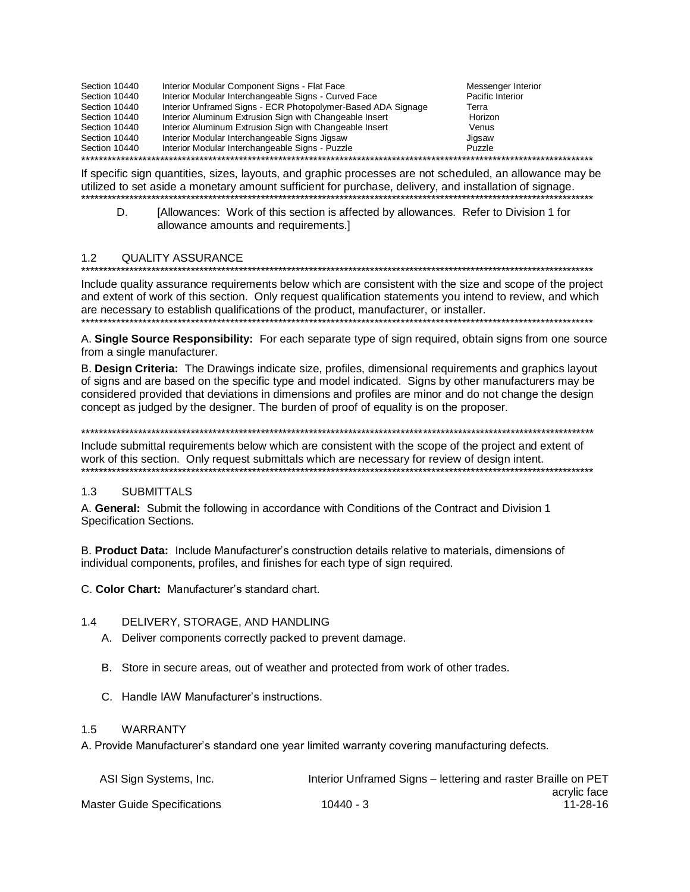| Section 10440 | Interior Modular Component Signs - Flat Face                 | Messenger Interior |
|---------------|--------------------------------------------------------------|--------------------|
| Section 10440 | Interior Modular Interchangeable Signs - Curved Face         | Pacific Interior   |
| Section 10440 | Interior Unframed Signs - ECR Photopolymer-Based ADA Signage | Terra              |
| Section 10440 | Interior Aluminum Extrusion Sign with Changeable Insert      | Horizon            |
| Section 10440 | Interior Aluminum Extrusion Sign with Changeable Insert      | Venus              |
| Section 10440 | Interior Modular Interchangeable Signs Jigsaw                | Jigsaw             |
| Section 10440 | Interior Modular Interchangeable Signs - Puzzle              | Puzzle             |
|               |                                                              |                    |

If specific sign quantities, sizes, layouts, and graphic processes are not scheduled, an allowance may be utilized to set aside a monetary amount sufficient for purchase, delivery, and installation of signage. 

[Allowances: Work of this section is affected by allowances. Refer to Division 1 for D. allowance amounts and requirements.]

#### $1.2$ **QUALITY ASSURANCE**

Include quality assurance requirements below which are consistent with the size and scope of the project

and extent of work of this section. Only request qualification statements you intend to review, and which are necessary to establish qualifications of the product, manufacturer, or installer.

A. Single Source Responsibility: For each separate type of sign required, obtain signs from one source from a single manufacturer.

B. Design Criteria: The Drawings indicate size, profiles, dimensional requirements and graphics layout of signs and are based on the specific type and model indicated. Signs by other manufacturers may be considered provided that deviations in dimensions and profiles are minor and do not change the design concept as judged by the designer. The burden of proof of equality is on the proposer.

Include submittal requirements below which are consistent with the scope of the project and extent of work of this section. Only request submittals which are necessary for review of design intent. 

#### $1.3$ **SUBMITTALS**

A. General: Submit the following in accordance with Conditions of the Contract and Division 1 Specification Sections.

B. Product Data: Include Manufacturer's construction details relative to materials, dimensions of individual components, profiles, and finishes for each type of sign required.

C. Color Chart: Manufacturer's standard chart.

#### $1.4$ DELIVERY, STORAGE, AND HANDLING

- A. Deliver components correctly packed to prevent damage.
- B. Store in secure areas, out of weather and protected from work of other trades.
- C. Handle IAW Manufacturer's instructions.

#### **WARRANTY**  $1.5$

A. Provide Manufacturer's standard one year limited warranty covering manufacturing defects.

| ASI Sign Systems, Inc.       |             | Interior Unframed Signs - lettering and raster Braille on PET |
|------------------------------|-------------|---------------------------------------------------------------|
|                              |             | acrylic face                                                  |
| Master Guide Specifications_ | $10440 - 3$ | 11-28-16                                                      |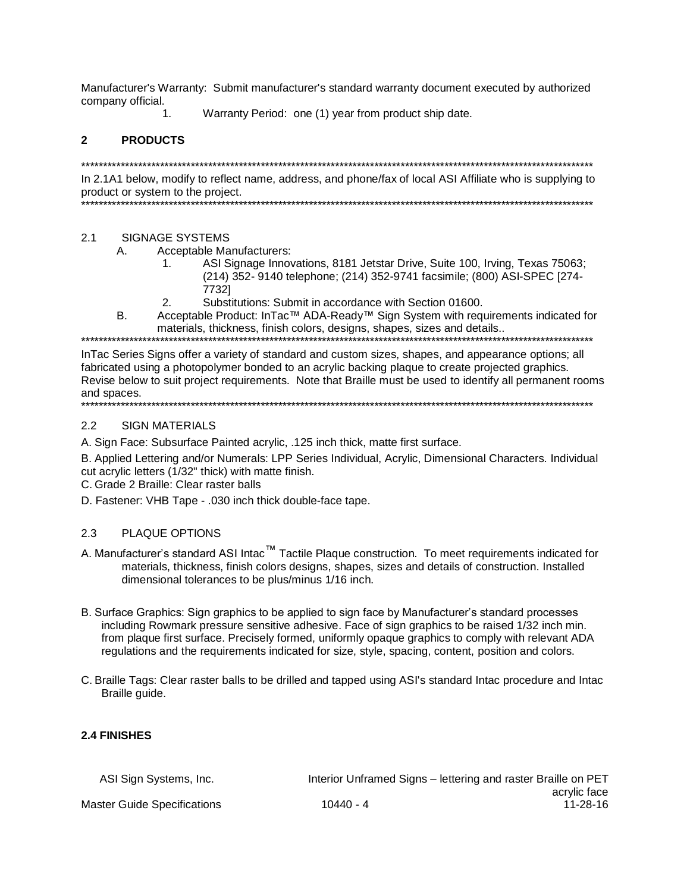Manufacturer's Warranty: Submit manufacturer's standard warranty document executed by authorized company official.

 $\mathbf{1}$ 

Warranty Period: one (1) year from product ship date.

#### 2 **PRODUCTS**

In 2.1A1 below, modify to reflect name, address, and phone/fax of local ASI Affiliate who is supplying to product or system to the project. 

#### $2.1$ **SIGNAGE SYSTEMS**

- Acceptable Manufacturers:  $\overline{A}$ 
	- ASI Signage Innovations, 8181 Jetstar Drive, Suite 100, Irving, Texas 75063;  $\mathbf 1$ (214) 352- 9140 telephone; (214) 352-9741 facsimile; (800) ASI-SPEC [274-77321
	- Substitutions: Submit in accordance with Section 01600.  $2.$
- Acceptable Product: InTac™ ADA-Ready™ Sign System with requirements indicated for B. materials, thickness, finish colors, designs, shapes, sizes and details..

In Tac Series Signs offer a variety of standard and custom sizes, shapes, and appearance options; all fabricated using a photopolymer bonded to an acrylic backing plague to create projected graphics. Revise below to suit project requirements. Note that Braille must be used to identify all permanent rooms and spaces. \*\*\*\*\*\*\*\*\*\*\*\*\*\*\*

#### $2.2$ **SIGN MATERIALS**

A. Sign Face: Subsurface Painted acrylic, .125 inch thick, matte first surface.

B. Applied Lettering and/or Numerals: LPP Series Individual, Acrylic, Dimensional Characters. Individual cut acrylic letters (1/32" thick) with matte finish.

C. Grade 2 Braille: Clear raster balls

D. Fastener: VHB Tape - .030 inch thick double-face tape.

#### $2.3$ PLAQUE OPTIONS

- A. Manufacturer's standard ASI Intac™ Tactile Plaque construction. To meet requirements indicated for materials, thickness, finish colors designs, shapes, sizes and details of construction. Installed dimensional tolerances to be plus/minus 1/16 inch.
- B. Surface Graphics: Sign graphics to be applied to sign face by Manufacturer's standard processes including Rowmark pressure sensitive adhesive. Face of sign graphics to be raised 1/32 inch min. from plaque first surface. Precisely formed, uniformly opaque graphics to comply with relevant ADA regulations and the requirements indicated for size, style, spacing, content, position and colors.
- C. Braille Tags: Clear raster balls to be drilled and tapped using ASI's standard Intac procedure and Intac Braille guide.

## 2.4 FINISHES

| ASI Sign Systems, Inc.      |             | Interior Unframed Signs – lettering and raster Braille on PET |
|-----------------------------|-------------|---------------------------------------------------------------|
|                             |             | acrylic face                                                  |
| Master Guide Specifications | $10440 - 4$ | 11-28-16                                                      |